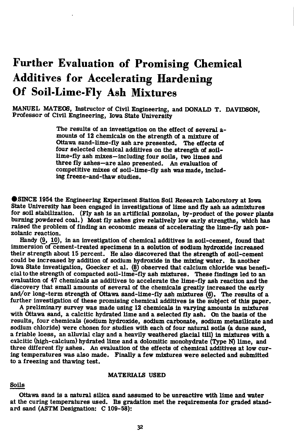# **Further Evaluation of Promising Chemical Additives for Accelerating Hardening Of Soil-Lime-Fly Ash Mixtures**

MANUEL MATEOS, Instructor of Civil Engineering, and DONALD T. DAVIDSON, Professor of Civil Engineering, Iowa State University

> The results of an investigation on the effect of several amounts of 12 chemicals on the strength of a mixture of Ottawa sand-lime-fly ash are presented. The effects of four selected chemical additives on the strength of soillime-fly ash mixes—including four soils, two limes and three fly ashes—are also presented. An evaluation of competitive mixes of soil-lime-fly ash was made, including freeze-and-thaw studies.

**CISINCE 1954 the Engineering Experiment Station Soil Research Laboratory at Iowa** State University has been engaged in investigations of lime and fly ash as admixtures for soil stabilization. (Fly ash is an artificial pozzolan, by-product of the power plants burning powdered coal.) Most fly ashes give relatively low early strengths, which has raised the problem of finding an economic means of accelerating the lime-fly ash pozzolanic reaction.

Handy (9, 10), in an investigation of chemical additives in soil-cement, found that immersion of cement-treated specimens in a solution of sodium hydroxide increased their strength about 15 percent. He also discovered that the strength of soil-cement could be Increased by addition of sodium hydroxide in the mixing water. In another Iowa State investigation, Goecker et al. (8) observed that calcium chloride was beneficial to the strength of compacted soil-lime-fly ash mixtures. These findings led to an evaluation of 47 chemicals as additives to accelerate the lime-fly ash reaction and the discovery that small amounts of several of the chemicals greatly increased the early and/or long-term strength of Ottawa sand-lime-fly ash mixtures (6). The results of a further investigation of these promising chemical additives is the subject of this paper.

A preliminary survey was made using 12 chemicals in varying amounts in mixtures with Ottawa sand, a calcitic hydrated lime and a selected fly ash. On the basis of the results, four chemicals (sodium hydroxide, sodium carbonate, sodium metasilicate and sodium chloride) were chosen for studies with each of four natural soils (a dune sand, a friable loess, an alluvial clay and a heavily weathered glacial till) in mixtures with a calcitic (high-calcium) hydrated lime and a dolomitic monohydrate (Type N) lime, and three different fly ashes. An evaluation of the effects of chemical additives at low curing temperatures was also made. Finally a few mixtures were selected and submitted to a freezing and thawing test.

#### MATERIAI£ USED

#### Soils

Ottawa sand is a natural silica sand assumed to be unreactive with lime and water at the curing temperatures used. Its gradation met the requirements for graded standard sand (ASTM Designation: C 109-58):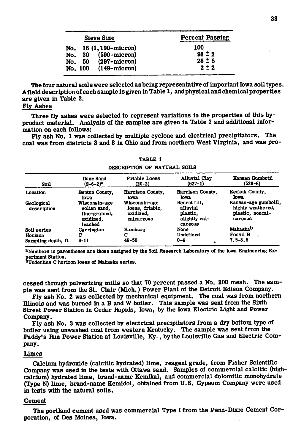| Sieve Size                                                                                               | <b>Percent Passing</b>                       |
|----------------------------------------------------------------------------------------------------------|----------------------------------------------|
| No. 16 (1, 190-micron)<br>$(590 - micron)$<br>No. 30<br>No. 50 (297-micron)<br>$(149-micron)$<br>No. 100 | 100<br>$98 \pm 2$<br>$28 \pm 5$<br>$2 \pm 2$ |

The four natural soils were selected as being representative of important Iowa soil types. Afield description of each sample is given in Table 1, and physical and chemicalproperties are given in Table 2.

## Fly Ashes

Three fly ashes were selected to represent variations in the properties of this byproduct material. Analysis of the samples are given in Table 3 and additional information on each follows:

Fly ash No. 1 was collected by multiple cyclone and electrical precipitators. The coal was from districts 3 and 8 in Ohio and from northern West Virginia, and was pro-

| <b>Soil</b>               | Dune Sand<br>(S-6-2) <sup>a</sup>                                      | <b>Friable Loess</b><br>$(20-2)$                            | <b>Alluvial Clay</b><br>$(627-1)$                                | Kansan Gumbotil<br>$(528-8)$                                             |
|---------------------------|------------------------------------------------------------------------|-------------------------------------------------------------|------------------------------------------------------------------|--------------------------------------------------------------------------|
| Location                  | Benton County,<br>Iowa                                                 | Harrison County,<br>Iowa                                    | Harrison County,<br>Iowa                                         | Keokuk County.<br>Iowa                                                   |
| Geological<br>description | Wisconsin-age<br>eolian sand.<br>fine-grained,<br>oxidized,<br>leached | Wisconsin-age<br>loess, friable,<br>oxidized.<br>calcareous | Recent fill.<br>alluvial<br>plastic.<br>slightly cal-<br>careous | Kansan-age gumbotil,<br>highly weathered.<br>plastic, noncal-<br>careous |
| Soil series               | Carrington                                                             | Hamburg                                                     | None                                                             | Mahaska <sup>b</sup>                                                     |
| Horizon                   | С                                                                      | С                                                           | Undefined                                                        | <b>Fossil B</b>                                                          |
| Sampling depth, ft        | $6 - 11$                                                               | 49-50                                                       | $0 - 4$                                                          | $7.5 - 8.5$                                                              |

TABLE 1 DESCRIPTION OF NATURAL SOILS

<sup>a</sup>Numbers in parentheses are those assigned by the Soil Research Laboratory of the Iowa Engineering Ex-

periment Station.<br><sup>D</sup>Underlies C horizon loess of Mahaska series.

cessed through pulverizing mills so that 70 percent passed a No. 200 mesh. The sample was sent from the St. Clair (Mich.) Power Plant of the Detroit Edison Company.

Fly ash No. 2 was collected by mechanical equipment. The coal was from northern Illinois and was burned in a B and W boiler. This sample was sent from the Sixth Street Power Station in Cedar Rapids, Iowa, by the Iowa Electric Light and Power Company.

Fly ash No. 3 was collected by electrical precipitators from a dry bottom type of boiler using unwashed coal from western Kentucky. The sample was sent from the Paddy's Run Power Station at Louisville, Ky., by the Louisville Gas and Electric Company.

#### Limes

Calcium hydroxide (calcitic hydrated) lime, reagent grade, from Fisher Scientific Company was used in the tests with Ottawa sand. Samples of commercial calcitic (highcalcium) hydrated lime, brand-name Kemlkal, and commercial dolomitic monohydrate (Type N) lime, brand-name Kemldol, obtained from U.S. Gypsum Company were used in tests with the natural soils.

#### Cement

The Portland cement used was commercial Type I from the Penn-Dixle Cement Corporation, of Des Moines, Iowa.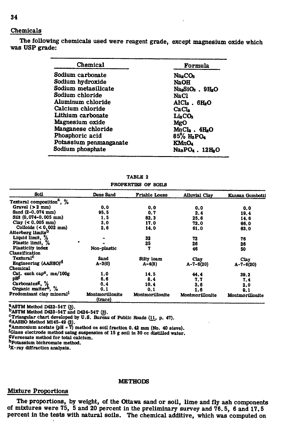## Chemicals

The following chemicals used were reagent grade, except magnesium oxide which was USP grade:

| Chemical               | Formula                            |  |  |
|------------------------|------------------------------------|--|--|
| Sodium carbonate       | NasCOs                             |  |  |
| Sodium hydroxide       | <b>NaOH</b>                        |  |  |
| Sodium metasilicate    | NasSiO <sub>3</sub> . 9HsO         |  |  |
| Sodium chloride        | NaCl                               |  |  |
| Aluminum chloride      | AlCls $.6H2O$                      |  |  |
| Calcium chloride       | CaCl.                              |  |  |
| Lithium carbonate      | <b>LisCOs</b>                      |  |  |
| Magnesium oxide        | MgO                                |  |  |
| Manganese chloride     | $MnCla$ . $4HaO$                   |  |  |
| Phosphoric acid        | 85% H <sub>3</sub> PO <sub>4</sub> |  |  |
| Potassium penmanganate | KMnO <sub>4</sub>                  |  |  |
| Sodium phosphate       | NasPO4.12HsO                       |  |  |

| PROPERTIES OF SOILS                   |                 |                      |                      |                        |
|---------------------------------------|-----------------|----------------------|----------------------|------------------------|
| Soil                                  | Dune Sand       | <b>Friable Loess</b> | <b>Alluvial Clay</b> | <b>Kansan Gumbotil</b> |
| Textural composition <sup>2</sup> , % |                 |                      |                      |                        |
| Gravel $(>2$ mm)                      | 0.0             | 0.0                  | 0.0                  | 0.0                    |
| Sand (2-0, 074 mm)                    | 95.5            | 0.7                  | 2.4                  | 19.4                   |
| Silt (0.074-0.005 mm)                 | 1.5             | 82.3                 | 25.6                 | 14.6                   |
| Clay $(< 0.005$ mm)                   | 3,0             | 17.0                 | 72.0                 | 66.0                   |
| Colloids $(0,002 \text{ mm})$         | 2.6             | 14.0                 | 61.0                 | 63.0                   |
| Atterberg limits <sup>D</sup>         |                 |                      |                      |                        |
| Liquid limit, %                       |                 | 32                   | 72                   | 76                     |
| Plastic limit, %                      |                 | 25                   | 26                   | 26                     |
| Plasticity index                      | Non-plastic     | 7                    | 46                   | 50                     |
| Classification                        |                 |                      |                      |                        |
| <b>Textural</b> <sup>C</sup>          | Sand            | Silty loam           | <b>Clay</b>          | Clay                   |
| Engineering (AASHO) <sup>d</sup>      | $A-3(0)$        | $A-4(8)$             | $A - 7 - 6(20)$      | $A - 7 - 6(20)$        |
| Chemical                              |                 |                      |                      |                        |
| Cat. exch cap <sup>e</sup> , me/100g  | 1.0             | 14.5                 | 44.4                 | 39.2                   |
| pH                                    | 6.6             | 8.4                  | 7.7                  | 7.4                    |
| Carbonates <sup>g</sup> , %           | 0,4             | 10.4                 | 3.6                  | 2.0                    |
| Organic matter <sup>h</sup> , %       | 0.1             | 0.1                  | 1.6                  |                        |
| Predominant clay mineral <sup>1</sup> | Montmorillonite | Montmorillonite      | Montmorillonite      | 0.1                    |
|                                       | (trace)         |                      |                      | Montmorillonite        |

TABLE 2

<sup>a</sup> ASTM Method D422-54T (3).<br><sup>b</sup> ASTM Method D423-54T and D424-54T (3).

•^Triangular chart developed by U.S. Bureau of Public Roads (11, p. 47).

dAASHO Method M14S-49 (2). ^Ammonium acetate (pH = 7) method on soil fraction 0.42 mm (No. 40 sieve).

'Glass electrode method using suspension of 15 g soil in 30 cc distiUed water.

BVersenate method for total calcium.

hpotassium bichromate method.

'X-ray diffraction analysis.

#### **METHODS**

#### Mixture Proportions

The proportions, by weight, of the Ottawa sand or soil, lime and fly ash components of mixtures were 75, 5 and 20 percent in the preliminary survey and 76.5, 6 and 17.5 percent in the tests with natural soils. The chemical additive, which was computed on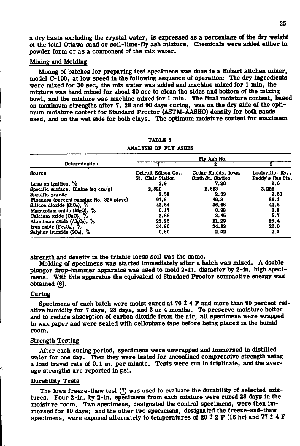a dry basis excluding the crystal water. Is expressed as a percentage of the dry weight of the total Ottawa sand or soil-lime-fly ash mixture. Chemicals were added either In powder form or as a component of the mix water.

#### Mixing and Molding

Mixing of batches for preparing test specimens was done in a Hobart kitchen mixer, model C**-100,** at low speed in the following sequence of operation: The dry ingredients were mixed for **30** sec, the mix water was added and machine mixed for **1** min, the mixture was hand mixed for about **30** sec to clean the sides and bottom of the mixing bowl, and the mixture was machine mixed for **1** min. The final moisture content, based on maximum strengths after **7, 28** and **90** days curing, was on the dry side of the optimum moisture content for Standard Proctor (ASTM-AASHO) density for both sands used, and on the wet side for both clays. The optimum moisture content for maximum

|                                          | Fly Ash No.                                   |                                          |                                      |  |  |
|------------------------------------------|-----------------------------------------------|------------------------------------------|--------------------------------------|--|--|
| Determination                            |                                               |                                          |                                      |  |  |
| Source                                   | Detroit Edison Co<br><b>St. Clair Station</b> | Cedar Rapids, Iowa,<br>Sixth St. Station | Louisville, Ky.,<br>Paddy's Run Sta. |  |  |
| Loss on ignition, $%$                    | 3.9                                           | 7.20                                     | 2.6                                  |  |  |
| Specific surface, Blaine (sq $cm/g$ )    | 2,820                                         | 2,663                                    | 3.226                                |  |  |
| Specific gravity                         | 2.58                                          | 2.39                                     | 2.60                                 |  |  |
| Fineness (percent passing No. 325 sieve) | 91.8                                          | 49.8                                     | 86.1                                 |  |  |
| Silicon dioxide $(S1O_2)$ , %            | 43.54                                         | 36.68                                    | 42.5                                 |  |  |
| Magnesium oxide (MgO), %                 | 0.17                                          | 0.98                                     | 0.8                                  |  |  |
| Calcium oxide (CaO), %                   | 2.86                                          | 3.45                                     | 5.7                                  |  |  |
| Aluminum oxide (AlaO <sub>3</sub> ), %   | 23.25                                         | 21.29                                    | 23.4                                 |  |  |
| Iron oxide (FegOs), $\%$                 | 24.80                                         | 24.33                                    | 20.0                                 |  |  |
| Sulphur trioxide $(SO3)$ , %             | 0.80                                          | 2.02                                     | 2.3                                  |  |  |

## TABLE 3

#### ANALYSIS OF FLY ASHES

strength and density in the friable loess soil was the same.

Molding of specimens was started immediately after a batch was mixed. A double plunger drop-hammer apparatus was used to mold **2**-in. diameter by **2**-in. high specimens. With this apparatus the equivalent of Standard Proctor compactive energy was obtained **(8).** 

#### Curing

Specimens of each batch were moist cured at **70 ± 4** F and more than **90** percent relative humidity for **7** days, **28** days, and **3** or **4** months. To preserve moisture better and to reduce absorption of carbon dioxide from the air, all specimens were wrapped in wax paper and were sealed with cellophane tape before being placed In the humid room.

#### Strength Testing

After each curing period, specimens were unwrapped and immersed in distilled water for one day. Then they were tested for unconfined compressive strength using a load travel rate of **0.1** in. per minute. Tests were run in triplicate, and the average strengths are reported in psl.

#### Durability Tests

The Iowa freeze-thaw test **(7)** was used to evaluate the durability of selected mixtures. Four **2**-in. by **2**-in. specimens from each mixture were cured **28** days in the moisture room. Two specimens, designated the control specimens, were then immersed for **10** days; and the other two specimens, designated the freeze-and-thaw specimens, were exposed alternately to temperatures of 20  $\pm$  2 F (16 hr) and 77  $\pm$  4 F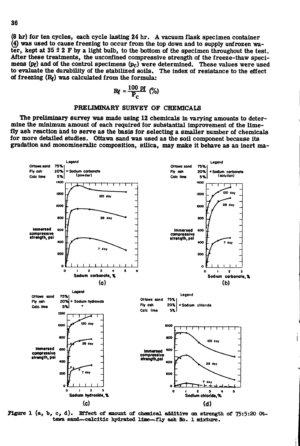(8 hr) for ten cycles, each cycle lasting 24 hr. A vacuum flask specimen container (4) was used to cause freezing to occur from the top down and to supply unfrozen water, kept at  $35 \pm 2$  F by a light bulb, to the bottom of the specimen throughout the test. After these treatments, the unconfined compressive strength of the freeze-thaw specimens (pf) and of the control specimens (pc) were determined. These values were used to evaluate the durability of the stabilized soils. The index of resistance to the effect of freezing  $(R_f)$  was calculated from the formula:

$$
R_f = \frac{100 \text{ pt}}{P_C} \text{ (*)}
$$

#### PRELIMINARY SURVEY OF CHEMICALS

The preliminary survey was made using 12 chemicals in varying amounts to determine the minimum amount of each required for substantial improvement of the limefly ash reaction and to serve as the basis for selecting a smaller number of chemicals for more detailed studies. Ottawa sand was used as the soil component because its gradation and monomineralic composition, silica, may make it behave as an inert ma-



**Figure 1 (a, b, c, d).** Effect of amount of chemical additive on strength of 75:5:20 Ottawa sand-calcitic hydrated lime-fly ash No. 1 mixture.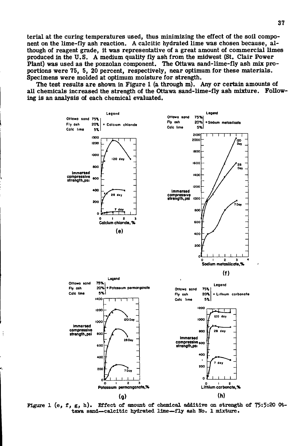terial at the curing temperatures used, thus minimizing the effect of the soil component on the lime-fly ash reaction. A calcitic hydrated lime was chosen because, although of reagent grade, it was representative of a great amount of commercial limes produced in the U.S. A medium quality fly ash from the midwest (St. Clair Power Plant) was used as the pozzolan component. The Ottawa sand-lime-fly ash mix proportions were 75, 5, 20 percent, respectively, near optimum for these materials. Specimens were molded at optimum moisture for strength.

The test results are shown in Figure 1 (a through m). Any or certain amounts of all chemicals increased the strength of the Ottawa sand-lime-fly ash mixture. Following is an analysis of each chemical evaluated.



Figure 1 (e, f, g, h). Effect of amount of chemical additive on strength of 75:5:20 Ottawa sand-calcitic hydrated lime-fly ash No. 1 mixture.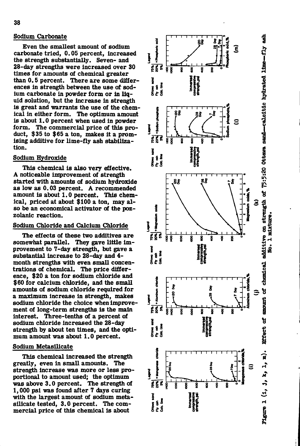## Sodium Carbonate

Even the smallest amount of sodium carbonate tried, 0.05 percent, Increased the strength substantially. Seven- and 28-day strengths were increased over 30 times for amounts of chemical greater than 0.5 percent. There are some differences in strength between the use of sodium carbonate in powder form or In liquid solution, but the increase in strength is great and warrants the use of the chemical in either form. The optimum amount is about 1.0 percent when used in powder form. The commercial price of this product, \$35 to \$65 a ton, makes it a promising additive for lime-fly ash stabilization.

#### Sodium Hydroxide

This chemical is also very effective. A noticeable improvement of strength started with amounts of sodium hydroxide as low as 0.03 percent. A recommended amount is about 1.0 percent. This chemical, priced at about \$100 a ton, may also be an economical activator of the pozzolanic reaction.

#### Sodium Chloride and Calcium Chloride

The effects of these two additives are somewhat parallel. They gave little improvement to 7-day strength, but gave a substantial Increase to 28-day and **4** month strengths with even small concentrations of chemical. The price difference, \$20 a ton for sodium chloride and \$60 for calcium chloride, and the small amounts of sodium chloride required for a maximum increase in strength, makes sodium chloride the choice when improvement of long-term strengths is the main interest. Three-tenths of a percent of sodium chloride Increased the 28-day strength by about ten times, and the optimum amount was about 1.0 percent.

#### Sodium Metasilicate

This chemical increased the strength greatly, even in small amounts. The strength increase was more or less proportional to amount used; the optimum was above 3.0 percent. The strength of 1,000 psi was found after 7 days curing with the largest amount of sodium metasilicate tested, 3.0 percent. The commercial price of this chemical is about

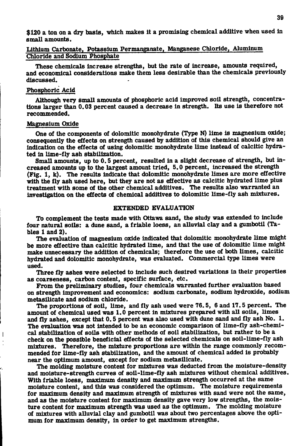\$120 a ton on a dry basis, which makes It a promising chemical additive when used in small amounts.

## Lithium Carbonate, Potassium Permanganate, Manganese Chloride, Aluminum Chloride and Sodium Phosphate

These chemicals Increase strengths, but the rate of increase, amounts required, and economical considerations make them less desirable than the chemicals previously discussed.

## Phosphoric Acid

Although very small amounts of phosphoric acid improved soil strength, concentrations larger than 0.03 percent caused a decrease in strength. Its use is therefore not recommended.

#### Magnesium Oxide

One of the components of dolomitlc monohydrate (Type N) lime is magnesium oxide; consequently the effects on strength caused by addition of this chemical should give an Indication on the effects of using dolomitlc monohydrate lime instead of calcitic hydrated in lime-fly ash stabilization.

Small amounts, up to 0.5 percent, resulted in a slight decrease of strength, but increased amounts up to the largest amount tried, 5.0 percent, increased the strength (Fig. 1, k). The results indicate that dolomitic monohydrate limes are more effective with the fly ash used here, but they are not as effective as calcitic hydrated lime plus treatment with some of the other chemical additives. The results also warranted an investigation on the effects of chemical additives to dolomitic lime-fly ash mixtures.

## EXTENDED EVALUATION

To complement the tests made with Ottawa sand, the study was extended to include four natural soils: a dune sand, a friable loess, an alluvial clay and a gumbotil (Tables 1 and 2).

The evaluation of magnesium oxide indicated that dolomitic monohydrate lime might be more effective than calcitic hydrated lime, and that the use of dolomitlc lime might make unnecessary the addition of chemicals; therefore the use of both limes, calcitic hydrated and dolomitic monohydrate, was evaluated. Commercial type limes were used.

Three fly ashes were selected to include such desired variations in their properties as coarseness, carbon content, specific surface, etc.

From the preliminary studies, four chemicals warranted further evaluation based on strength Improvement and economics: sodium carbonate, sodium hydroxide, sodium metasilicate and sodium chloride.

The proportions of soil, lime, and fly ash used were 76.5, 6 and 17.5 percent. The amount of chemical used was 1.0 percent in mixtures prepared with all soils, limes and fly ashes, except that 0.5 percent was also used with dune sand and fly ash No. 1. The evaluation was not intended to be an economic comparison of lime-fly ash-chemical stabilization of soils with other methods of soil stabilization, but rather to be a check on the possible beneficial effects of the selected chemicals on soil-llme-fly ash mixtures. Therefore, the mixture proportions are within the range commonly recommended for lime-fly ash stabilization, and the amount of chemical added is probably near the optimum amount, except for sodium metasilicate.

The molding moisture content for mixtures was deducted from the moisture-density and moisture-strength curves of soil-lime-fly ash mixtures without chemical additives. With friable loess, maximum density and maximum strength occurred at the same moisture content, and this was considered the optimum. The moisture requirements for maximum density and maximum strength of mixtures with sand were not the same, and as the moisture content for maximum density gave very low strengths, the moisture content for maximum strength was used as the optimum. The molding moisture of mixtures with alluvial clay and gumbotil was about two percentages above the optimum for maximum density, in order to get maximum strengths.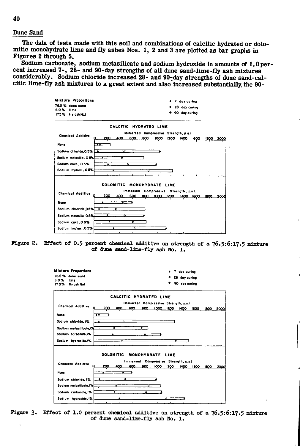#### Dune Sand

The data of tests made with this soil and combinations of calcitic hydrated or dolomitic monohydrate lime and fly ashes Nos. 1, 2 and 3 are plotted as bar graphs in Figures 2 through 5.

Sodium carbonate, sodium metasilicate and sodium hydroxide in amounts of 1.0 percent increased 7-, 28- and 90-day strengths of all dune sand-lime-fly ash mixtures considerably. Sodium chloride increased 28- and 90-day strengths of dune sand-calcitic lime-fly ash mixtures to a great extent and also increased substantially the 90-



Figure 2. Effect of 0.5 percent chemical additive on strength of a 76.5:6:17.5 mixture of dune sand-lime-fly ash No. 1.

| Mixture Proportions                                | 7 day curing<br>٠                          |
|----------------------------------------------------|--------------------------------------------|
| 76.5 % dune sand                                   | 28 day curing<br>۰                         |
| 60%<br><b>ilma</b><br>175% fly ash Not             | 90 day curing<br>٠                         |
|                                                    | CALCITIC HYDRATED LIME                     |
|                                                    | Immersed Compressive Strangth, p.s.i.      |
| <b>Chemical Additive</b><br>c<br>200<br>600<br>400 | 800<br>1000 1200 1400 1600<br>1800<br>2000 |
| None<br>$\overline{a}$                             |                                            |
| Sodium chloride. 1%<br>॰<br>Ā                      |                                            |
|                                                    |                                            |
| ᢌ<br>Sodium matasilicate.I%                        | $\overline{\bullet}$                       |
| Sodium carbonate.I%<br>۵                           | $\overline{\bullet}$                       |
| Sodium hydroxide, 1%<br>А                          | $\bullet$                                  |
|                                                    |                                            |
| <b>DOLOMITIC</b>                                   |                                            |
|                                                    |                                            |
|                                                    | MONOHYDRATE LIME                           |
| <b>Chemical Additive</b>                           | Immersed Compressive Strength, p.s.i.      |
| 200<br>400<br>600                                  | 800<br>1000 1200<br>1400 1600<br>1800      |
| None<br>Δ<br>$\bullet$                             |                                            |
| ठ<br>т<br>Sodium chioride, I%                      |                                            |
| т                                                  | ō                                          |
| Sodium metasilicate, 1%                            |                                            |
| Sodium carbonate, I%<br>т<br>Sodium hydroxide, I%  | $\bullet$<br>۰                             |

Figure 3. Effect of 1.0 percent chemical additive on strength of a 76.5:6:17.5 mixture of dune sand-lime-fly ash No. 1.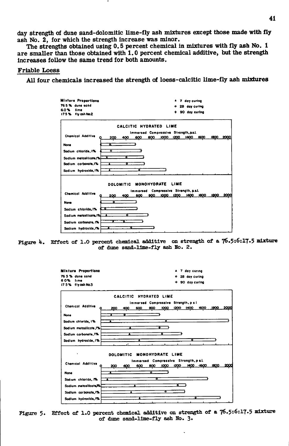day strength of dune sand-dolomitic lime-fly ash mixtures except those made with fly ash No. 2, for which the strength increase was minor.

The strengths obtained using 0.5 percent chemical in mixtures with fly ash No. 1 are smaller than those obtained with 1.0 percent chemical additive, but the strength increases follow the same trend for both amounts.

#### **Friable Loess**

All four chemicals increased the strength of loess-calcitic lime-fly ash mixtures







Figure 5. Effect of 1.0 percent chemical additive on strength of a 76.5:6:17.5 mixture of dume sand-lime-fly ash No. 3.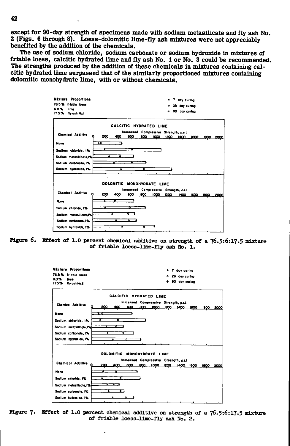except for 90-day strength of specimens made with sodium metasilicate and fly ash No. 2 (Figs. 6 through 8). Loess-dolomitic lime-fly ash mixtures were not appreciably benefited by the addition of the chemicals.

The use of sodium chloride, sodium carbonate or sodium hydroxide in mixtures of friable loess, calcitic hydrated lime and fly ash No. 1 or No. 3 could be recommended. The strengths produced by the addition of these chemicals in mixtures containing calcitic hydrated lime surpassed that of the similarly proportioned mixtures containing dolomitic monohydrate lime, with or without chemicals.



Figure 6. Effect of 1.0 percent chemical additive on strength of a 76.5:6:17.5 mixture of friable loess-lime-fly ash No. 1.



Figure 7. Effect of 1.0 percent chemical additive on strength of a 76.5:6:17.5 mixture of friable loess-lime-fly ash No. 2.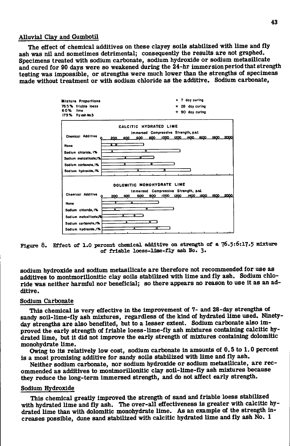#### Alluvial Clay and Gumbotil

The effect of chemical additives on these clayey soils stabilized with lime and fly ash was nil and sometimes detrimental; consequently the results are not graphed. Specimens treated with sodium carbonate, sodium hydroxide or sodium metasilicate and cured for 90 days were so weakened during the 24-hr immersion period that strength testing was impossible, or strengths were much lower than the strengths of specimens made without treatment or with sodium chloride as the additive. Sodium carbonate,



**Figure 8. Effec t of 1.0 percent chemical additive on strength of a 76.5:6:17.5 mixture of friabl e Icess-llae-fl y ash No. 3«** 

sodium hydroxide and sodium metasilicate are therefore not recommended for use as additives to montmorillonitic clay soils stabilized with lime and fly ash. Sodium chloride was neither harmful nor beneficial; so there appears no reason to use it as an additive.

#### Sodium Carbonate

This chemical is very effective in the improvement of 7- and 28-day strengths of sandy soil-lime-fly ash mixtures, regardless of the kind of hydrated lime used. Ninetyday strengths are also benefited, but to a lesser extent. Sodium carbonate also improved the early strength of friable loess-lime-fly ash mixtures containing calcitic hydrated lime, but it did not improve the early strength of mixtures containing dolomitic monohydrate lime.

Owing to its relatively low cost, sodium carbonate in amounts of 0.5 to 1.0 percent is a most promising additive for sandy soils stabilized with lime and fly ash.

Neither sodium carbonate, nor sodium hydroxide or sodium metasilicate, are recommended as additives to montmorillonitic clay soil-lime-fly ash mixtures because they reduce the long-term immersed strength, and do not affect early strength.

#### Sodium Hydroxide

This chemical greatly improved the strength of sand and friable loess stabilized with hydrated lime and fly ash. The over-all effectiveness is greater with calcitic hydrated lime than with dolomitic monohydrate lime. As an example of the strength increases possible, dune sand stabilized with calcitic hydrated lime and fly ash No. 1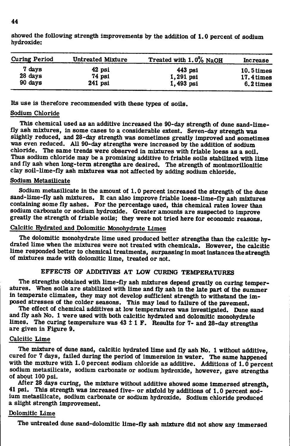| <b>Curing Period</b> | <b>Untreated Mixture</b> | Treated with 1.0% NaOH | <b>Increase</b> |  |  |
|----------------------|--------------------------|------------------------|-----------------|--|--|
| 7 davs               | 42 psi                   | $443$ psi              | $10.5$ times    |  |  |
| 28 days              | 74 psi                   | 1,291 psi              | 17.4 times      |  |  |
| $90 \text{ days}$    | $241$ psi                | 1,493 psi              | 6.2 times       |  |  |

showed the following strength improvements by the addition of 1.0 percent of sodium hydroxide:

Its use is therefore recommended with these types of soils.

## Sodium Chloride

This chemical used as an additive increased the 90-day strength of dune sand-limefly ash mixtures, in some cases to a considerable extent. Seven-day strength was slightly reduced, and 28-day strength was sometimes greatly improved and sometimes was even reduced. All 90-day strengths were increased by the addition of sodium chloride. The same trends were observed in mixtures with friable loess as a soil. Thus sodium chloride may be a promising additive to friable soils stabilized with lime and fly ash when long-term strengths are desired. The strength of montmorillonitic clay soil-lime-fly ash mixtures was not affected by adding sodium chloride.

## Sodium Metasilicate

Sodium metasilicate in the amount of 1.0 percent increased the strength of the dune sand-lime-fly ash mixtures. It can also improve friable loess-lime-fly ash mixtures containing some fly ashes. For the percentage used, this chemical rates lower than sodium carbonate or sodium hydroxide. Greater amounts are suspected to improve greatly the strength of friable soils; they were not tried here for economic reasons.

## Calcitic Hydrated and Dolomitic Monohydrate Limes

The dolomitic monohydrate lime used produced better strengths than the calcitic hydrated lime when the mixtures were not treated with chemicals. However, the calcitic lime responded better to chemical treatments, surpassing in most instances the strength of mixtures made with dolomitic lime, treated or not.

## EFFECTS OF ADDITIVES AT LOW CURING TEMPERATURES

The strengths obtained with lime-fly ash mixtures depend greatly on curing temperatures. When soils are stabilized with lime and fly ash in the late part of the summer in temperate climates, they may not develop sufficient strength to withstand the im posed stresses of the colder seasons. This may lead to failure of the pavement.

The effect of chemical additives at low temperatures was investigated. Dune sand and fly ash No. 1 were used with both calcitic hydrated and dolomitic monohydrate limes. The curing temperature was  $43 \pm 1$  F. Results for 7- and 28-day strengths are given in Figure 9.

## Calcitic Lime

The mixture of dune sand, calcitic hydrated lime and fly ash No. 1 without additive, cured for 7 days, failed during the period of immersion in water. The same happened with the mixture with 1.0 percent sodium chloride as additive. Additions of 1.0 percent sodium metasilicate, sodium carbonate or sodium hydroxide, however, gave strengths of about 100 psi.

After 28 days curing, the mixture without additive showed some immersed strength, 41 psi. This strength was increased five - or sixfold by additions of 1.0 percent sodium metasilicate, sodium carbonate or sodium hydroxide. Sodium chloride produced a slight strength improvement.

## Dolomitic Lime

The untreated dune sand-dolomitic lime-fly ash mixture did not show any immersed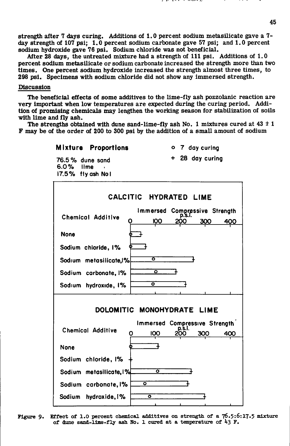strength after 7 days curing. Additions of 1.0 percent sodium metasilicate gave a 7 day strength of 107 psi; 1.0 percent sodium carbonate gave 57 psi; and 1.0 percent sodium hydroxide gave 76 psi. Sodium chloride was not beneficial.

After 28 days, the untreated mixture had a strength of 111 psi. Additions of  $1.0$ percent sodium metasilicate or sodium carbonate increased the strength more than two times. One percent sodium hydroxide increased the strength almost three times, to 298 psi. Specimens with sodium chloride did not show any immersed strength.

## Discussion

The beneficial effects of some additives to the lime-fly ash pozzolanic reaction are very Important when low temperatures are expected during the curing period. Addition of promising chemicals may lengthen the working season for stabilization of soils with lime and fly ash.

The strengths obtained with dune sand-lime-fly ash No. 1 mixtures cured at  $43 \pm 1$ F may be of the order of 200 to 300 psi by the addition of a small amount of sodium

> **Mixture Proportions**  o 7 **day curing + 28 day curing**  76.5% **dune sand**  6.0% **lime .**  17.5**7o fly ash No I CALCiTIC HYDRATED LIME**  Immersed Compressive Strength **Chemical Additive**  100 400 **None**  Sodium chloride,  $1\%$  $\overline{\bullet}$ **Sodium metasilicate,l7o**   $\overline{\mathbf{o}}$ **Sodium carbonote,** 1% ᅙ **Sodium hydroxide,** 1% DOLOMITIC MONOHYDRATE LIME **Immersed Compressive Strength Chemical Additive**  0 100 **zSo'** 300 400 **None**  Sodium chloride, I% ក **Sodium metaslllcate,l%**  ० **Sodium carbonate,** 1% **Sodium hydroxide,** 1% ō

**Figure 9. Effect of 1.0 percent chemical additives on strength of a 76.5:6:17.5 mixture of dune sand-llme-fl^ ash No. 1 cured at a tanperature of ^3 F.**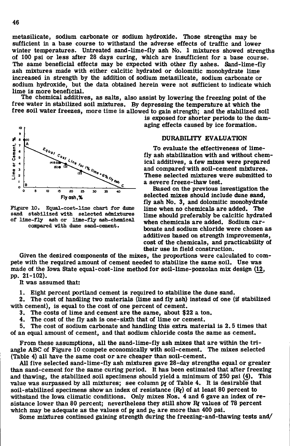metasilicate, sodium carbonate or sodium hydroxide. Those strengths may be sufficient in a base course to withstand the adverse effects of traffic and lower winter temperatures. Untreated sand-lime-fly ash No. 1 mixtures showed strengths of 100 psi or less after 28 days curing, which are insufficient for a base course. The same beneficial effects may be expected with other fly ashes. Sand-lime-fly ash mixtures made with either calcitic hydrated or dolomitic monohydrate lime increased in strength by the addition of sodium metasilicate, sodium carbonate or sodium hydroxide, but the data obtained herein were not sufficient to indicate which lime is more beneficial.

The chemical additives, as salts, also assist by lowering the freezing point of the free water in stabilized soil mixtures. By depressing the temperature at which the free soil water freezes, more time is allowed to gain strength; and the stabilized soil



**Figure 10. Equal-cost-llne chart for dune sand stabilized with selected admixtures of llme-fly ash or 1Imp-fly ash-chemlcal coirpared with dune sand-cement.** 

is exposed for shorter periods to the damaging effects caused by ice formation.

#### DURABILITY EVALUATION

To evaluate the effectiveness of lime fly ash stabilization with and without chemical additives, a few mixes were prepared and compared'with soil-cement mixtures. These selected mixtures were submitted to a severe freeze-thaw test.

Based on the previous investigation the selected mixes should Include dune sand, fly ash No. 3, and dolomitic monohydrate lime when no chemicals are added. The lime should preferably be calcitic hydrated when chemicals are added. Sodium carbonate and sodium chloride were chosen as additives based on strength improvements, cost of the chemicals, and practicability of their use in field construction.

Given the desired components of the mixes, the proportions were calculated to compete with the required amount of cement needed to stabilize the same soil. Use was made of the Iowa State equal-cost-line method for soil-lime-pozzolan mix design (12, pp. 21-102),

It was assumed that:

1. Eight percent portland cement is required to stabilize the dune sand.

2. The cost of handling two materials (lime and fly ash) instead of one (if stabilized with cement), is equal to the cost of one percent of cement.

3. The costs of lime and cement are the same, about \$22 a ton.

4. The cost of the fly ash is one-sixth that of lime or cement.

5. The cost of sodium carbonate and handling this extra material is 2.5 times that of an equal amount of cement, and that sodium chloride costs the same as cement.

From these assumptions, all the sand-lime-fly ash mixes that are within the triangle ABC of Figure 10 compete economically with soil-cement. The mixes selected (Table 4) all have the same cost or are cheaper than soil-cement.

All five selected sand-lime-fly ash mixtures gave 28-day strengths equal or greater than sand-cement for the same curing period. It has been estimated that after freezing and thawing, the stabilized soil specimens should yield a minimum of 250 psi (4). This value was surpassed by all mixtures; see column pf of Table 4. It is desirable that soil-stabilized specimens show an index of resistance  $(R_f)$  of at least 80 percent to withstand the Iowa climatic conditions. Only mixes Nos. 4 and 6 gave an index of resistance lower than 80 percent; nevertheless they still show  $R_f$  values of 78 percent which may be adequate as the values of  $p_f$  and  $p_f$  are more than 400 psi.

Some mixtures continued gaining strength during the freezlng-and-thawing tests and/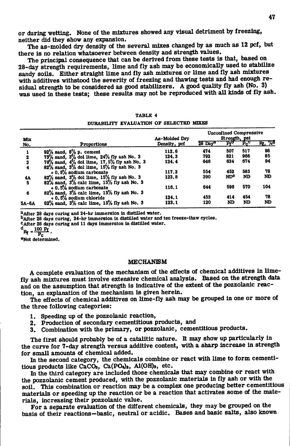or during wetting. None of the mixtures showed any visual detriment by freezing, neither did they show any expansion.

The as-molded dry density of the several mixes changed by as much as 12 pcf, but there is no relation whatsoever between density and strength values.

The principal consequence that can be derived from these tests is that, based on 28-day strength requirements, lime and fly ash may be economically used to stabilize sandy soils. Either straight lime and fly ash mixtures or lime and fly ash mixtures with additives withstood the severity of freezing and thawing tests and had enough residual strength to be considered as good stabilizers. A good quality fly ash (No. 3) was used in these tests; these results may not be reproduced with all kinds of fly ash.

| Mix                  |                                                     | As-Molded Dry | <b>Unconfined Compressive</b><br>Strength, psi |                 |         |                 |
|----------------------|-----------------------------------------------------|---------------|------------------------------------------------|-----------------|---------|-----------------|
| No.                  | Proportions                                         | Density, pcf  | $28$ Dav <sup>3</sup>                          | ሥ               | $P_{c}$ | $R_1, \sqrt{6}$ |
|                      | $92\%$ sand, $8\%$ p, cement                        | 112.6         | 474                                            | 507             | 517     | 98              |
| $\mathbf 2$          | 73% sand, 3% dol lime, 24% fly ash No. 3            | 124.3         | 792                                            | 821             | 966     | 85              |
| 3                    | $76\%$ sand, $4\%$ dol lime, $17.5\%$ fly ash No. 3 | 124.4         | 646                                            | 634             | 674     | 94              |
| $\blacktriangleleft$ | $82\%$ sand, $3\%$ dol lime, $15\%$ fly ash No. 3   |               |                                                |                 |         |                 |
|                      | $+0.5%$ sodium carbonate                            | 117.2         | 554                                            | 452             | 583     | 78              |
| 4A                   | $82\%$ sand, $3\%$ dol lime, $15\%$ fly ash No. 3   | 123.8         | 390                                            | ND <sup>e</sup> | ND      | ND              |
| 5                    | $82\%$ sand, $3\%$ calc lime, $15\%$ fly ash No. 3  |               |                                                |                 |         |                 |
|                      | $+0.5%$ sodium carbonate                            | 116.1         | 644                                            | 596             | 570     | 104             |
| 6                    | $82\%$ sand, $3\%$ calc lime, $15\%$ fly ash No. 3  |               |                                                |                 |         |                 |
|                      | $+0.5%$ sodium chloride                             | 124.1         | 453                                            | 414             | 454     | 78              |
| $5A-6A$              | $82\%$ sand, $3\%$ calc lime, $15\%$ fly ash No. 3  | 123.1         | 120                                            | ND              | ND      | ND              |

#### TABLE 4 DURABIUTY EVALUATION OF SELECTED MIXES

<sup>2</sup> After 28 days curing and 24-hr immersion in distilled water.

<sup>b</sup>After 28 days curing, 24-hr immersion in distilled water and ten freeze-thaw cycles.

After 28 days curing and 11 days immersion in distiUed water.

 $R_f = \frac{100 \text{ Pf}}{P_c}$ .

## eNot determined.

#### MECHANISM

A complete evaluation of the mechanism of the effects of chemical additives in limefly ash mixtures must involve extensive chemical analysis. Based on the strength data and on the assumption that strength is indicative of the extent of the pozzolanic reaction, an explanation of the mechanism is given herein.

The effects of chemical additives on lime-fly ash may be grouped in one or more of the three following categories:

- 1. Speeding up of the pozzolanic reaction,
- 2. Production of secondary cementitious products, and
- 3. Combination with the primary, or pozzolanic, cementitious products.

The first should probably be of a catalitic nature. It may show up particularly in the curve for 7-day strength versus additive content, with a sharp increase in strength for small amounts of chemical added.

In the second category, the chemicals combine or react with lime to form cementitious products like CaCO<sub>3</sub>, Ca(PO<sub>4</sub>)<sub>2</sub>, Al(OH)<sub>3</sub>, etc.

In the third category are included those chemicals that may combine or react with the pozzolanic cement produced, with the pozzolanic materials in fly ash or with the soil. This combination or reaction may be a complex one producing better cementitious materials or speeding up the reaction or be a reaction that activates some of the materials, increasing their pozzolanic value.

For a separate evaluation of the different chemicals, they may be grouped on the basis of their reactions—basic, neutral or acidic. Bases and basic salts, also known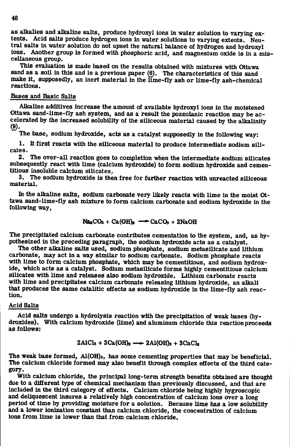as alkalies and alkaline salts, produce hydroxyl ions in water solution to varying extents. Acid salts produce hydrogen ions in water solutions to varying extents. Neutral salts in water solution do not upset the natural balance of hydrogen and hydroxyl ions. Another group is formed with phosphoric acid, and magnesium oxide is in a miscellaneous group.

This evaluation is made based on the results obtained with mixtures with Ottawa sand as a soil in this and in a previous paper (6). The characteristics of this sand make it, supposedly, an inert material in the lime-fly ash or lime-fly ash-chemical reactions.

## Bases and Basic Salts

Alkaline additives increase the amount of available hydroxyl ions in the moistened Ottawa sand-llme-fly ash system, and as a result the pozzolanic reaction may be accelerated by the increased solubility of the siliceous material caused by the alkalinity (9).

The base, sodium hydroxide, acts as a catalyst supposedly in the following way:

1. It first reacts with the siliceous material to produce intermediate sodium sili cates.

2. The over-all reaction goes to completion when the intermediate sodium silicates subsequently react with lime (calcium hydroxide) to form sodium hydroxide and cementitlous insoluble calcium silicates,.

3. The sodium hydroxide is then free for further reaction with unreacted siliceous material.

In the alkaline salts, sodium carbonate very likely reacts with lime in the moist Ottawa sand-llme-fly ash mixture to form calcium carbonate and sodium hydroxide in the following way,

$$
Na2CO3 + Ca(OH)2 \longrightarrow CaCO3 + 2NaOH
$$

The precipitated calcium carbonate contributes cementation to the system, and, as hypothesized in the preceding paragraph, the sodium hydroxide acts as a catalyst.

The other alkaline salts used, sodium phosphate, sodium metasilicate and lithium carbonate, may act in a way similar to sodium carbonate. Sodium phosphate reacts with lime to form calcium phosphate, which may be cementitious, and sodium hydroxide, which acts as a catalyst. Sodium metasilicate forms highly cementitious calcium silicates with lime and releases also sodium hydroxide. Lithium carbonate reacts with lime and precipitates calcium carbonate releasing lithium hydroxide, an alkali that produces the same catalitic effects as sodium hydroxide in the lime-fly ash reaction.

## Acid Salts

Acid salts undergo a hydrolysis reaction with the precipitation of weak bases (hydroxides). With calcium hydroxide (lime) and aluminum chloride this reaction proceeds as follows:

## $2\text{AICl}_3 + 3\text{Ca(OH)}_2 \longrightarrow 2\text{Al(OH)}_3 + 3\text{CaCl}_2$

The weak base formed, Al(OH**)3,** has some cementing properties that may be beneficial. The calcium chloride formed may also benefit through complex effects of the third category.

With calcium chloride, the principal long-term strength benefits obtained are thought due to a different type of chemical mechanism than previously discussed, and that are included In the third category of effects. Calcium chloride being highly hygroscopic and deliquescent insures a relatively high concentration of calcium ions over a long period of time by providing moisture for a solution. Because lime has a low solubility and a lower ionization constant than calcium chloride, the concentration of calcium ions from lime is lower than that from calcium chloride.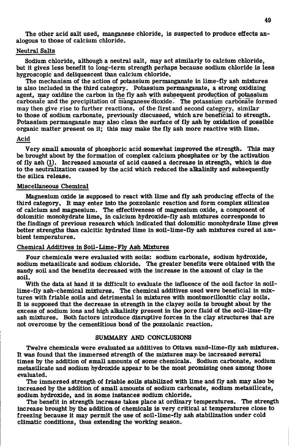The other acid salt used, manganese chloride, is suspected to produce effects analogous to those of calcium chloride.

#### Neutral Salts

Sodium chloride, although a neutral salt, may act similarly to calcium chloride, but it gives less benefit to long-term strength perhaps because sodium chloride is less hygroscopic and deliquescent than calcium chloride.

The mechanism of the action of potassium permanganate in lime-fly ash mixtures is also included in the third category. Potassium permanganate, a strong oxidizing agent, may oxidize the carbon in the fly ash with subsequent production of potassium carbonate and the precipitation of manganese'dioxide. The potassium carbonate formed may then give rise to further reactions, of the first and second category, similar to those of sodium carbonate, previously discussed, which are beneficial to strength. Potassium permanganate may also clean the surface of fly ash by oxidation of possible organic matter present on it; this may make the fly ash more reactive with lime.

#### Acid

Very small amounts of phosphoric acid somewhat improved the strength. This may be brought about by the formation of complex calcium phosphates or by the activation of fly ash  $(1)$ . Increased amounts of acid caused a decrease in strength, which is due to the neutralization caused by the acid which reduced the alkalinity and subsequently the silica release.

## Miscellaneous Chemical

Magnesium oxide is supposed to react with lime and fly ash producing effects of the third category. It may enter into the pozzolanic reaction and form complex silicates of calcium and magnesium. The effectiveness of magnesium oxide, a component of dolomitic monohydrate lime, in calcium hydroxide-fly ash mixtures corresponds to the findings of previous research which indicated that dolomitic monohydrate lime gives better strengths than calcitic hydrated lime in soil-lime-fly ash mixtures cured at ambient temperatures.

### Chemical Additives in Soil-Lime-Fly Ash Mixtures

Four chemicals were evaluated with soils: sodium carbonate, sodium hydroxide, sodium metasilicate and sodium chloride. The greater benefits were obtained with the sandy soil and the benefits decreased with the increase in the amount of clay in the soil.

With the data at hand it is difficult to evaluate the influence of the soil factor in soillime-fly ash-chemical mixtures. The chemical additives used were beneficial in mixtures with friable soils and detrimental in mixtures with montmorillonitic clay soils. It is supposed that the decrease in strength in the clayey soils is brought about by the excess of sodium ions and high alkalinity present in the pore fluid of the soil-lime-fly ash mixtures. Both factors introduce disruptive forces in the clay structures that are not overcome by the cementitious bond of the pozzolanic reaction.

## SUMMARY AND CONCLUSIONS

Twelve chemicals were evaluated as additives to Ottawa sand-lime-fly ash mixtures. It was found that the immersed strength of the mixtures may. be increased several times by the addition of small amounts of some chemicals. Sodium carbonate, sodium metasilicate and sodium hydroxide appear to be the most promising ones among those evaluated.

The immersed strength of friable soils stabilized with lime and fly ash may also be increased by the addition of small amounts of sodium carbonate, sodium metasilicate, sodium hydroxide, and in some instances sodium chloride.

The benefit in strength increase takes place at ordinary temperatures. The strength increase brought by the addition of chemicals is very critical at temperatures close to freezing because it may permit the use of soil-lime-fly ash stabilization under cold climatic conditions, thus extending the working season.